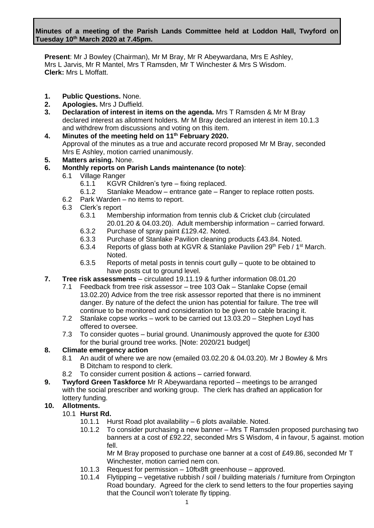**Present**: Mr J Bowley (Chairman), Mr M Bray, Mr R Abeywardana, Mrs E Ashley, Mrs L Jarvis, Mr R Mantel, Mrs T Ramsden, Mr T Winchester & Mrs S Wisdom. **Clerk:** Mrs L Moffatt.

- **1. Public Questions.** None.
- **2. Apologies.** Mrs J Duffield.
- **3. Declaration of interest in items on the agenda.** Mrs T Ramsden & Mr M Bray declared interest as allotment holders. Mr M Bray declared an interest in item 10.1.3 and withdrew from discussions and voting on this item.
- **4. Minutes of the meeting held on 11 th February 2020.** Approval of the minutes as a true and accurate record proposed Mr M Bray, seconded Mrs E Ashley, motion carried unanimously.
- **5. Matters arising.** None.
- **6. Monthly reports on Parish Lands maintenance (to note)**:
	- 6.1 Village Ranger
		- 6.1.1 KGVR Children's tyre fixing replaced.
		- 6.1.2 Stanlake Meadow entrance gate Ranger to replace rotten posts.
	- 6.2 Park Warden no items to report.
	- 6.3 Clerk's report
		- 6.3.1 Membership information from tennis club & Cricket club (circulated 20.01.20 & 04.03.20). Adult membership information – carried forward.
		- 6.3.2 Purchase of spray paint £129.42. Noted.
		- 6.3.3 Purchase of Stanlake Pavilion cleaning products £43.84. Noted.
		- 6.3.4 Reports of glass both at KGVR & Stanlake Pavilion 29<sup>th</sup> Feb / 1<sup>st</sup> March. Noted.
		- 6.3.5 Reports of metal posts in tennis court gully quote to be obtained to have posts cut to ground level.
- **7. Tree risk assessments**  circulated 19.11.19 & further information 08.01.20
	- 7.1 Feedback from tree risk assessor tree 103 Oak Stanlake Copse (email 13.02.20) Advice from the tree risk assessor reported that there is no imminent danger. By nature of the defect the union has potential for failure. The tree will continue to be monitored and consideration to be given to cable bracing it.
	- 7.2 Stanlake copse works work to be carried out 13.03.20 Stephen Loyd has offered to oversee.
	- 7.3 To consider quotes burial ground. Unanimously approved the quote for £300 for the burial ground tree works. [Note: 2020/21 budget]

#### **8. Climate emergency action**

- 8.1 An audit of where we are now (emailed 03.02.20 & 04.03.20). Mr J Bowley & Mrs B Ditcham to respond to clerk.
- 8.2 To consider current position & actions carried forward.
- **9. Twyford Green Taskforce** Mr R Abeywardana reported meetings to be arranged with the social prescriber and working group. The clerk has drafted an application for lottery funding.

# **10. Allotments.**

- 10.1 **Hurst Rd.**
	- 10.1.1 Hurst Road plot availability 6 plots available. Noted.
	- 10.1.2 To consider purchasing a new banner Mrs T Ramsden proposed purchasing two banners at a cost of £92.22, seconded Mrs S Wisdom, 4 in favour, 5 against. motion fell.

Mr M Bray proposed to purchase one banner at a cost of £49.86, seconded Mr T Winchester, motion carried nem con.

- 10.1.3 Request for permission 10ftx8ft greenhouse approved.
- 10.1.4 Flytipping vegetative rubbish / soil / building materials / furniture from Orpington Road boundary. Agreed for the clerk to send letters to the four properties saying that the Council won't tolerate fly tipping.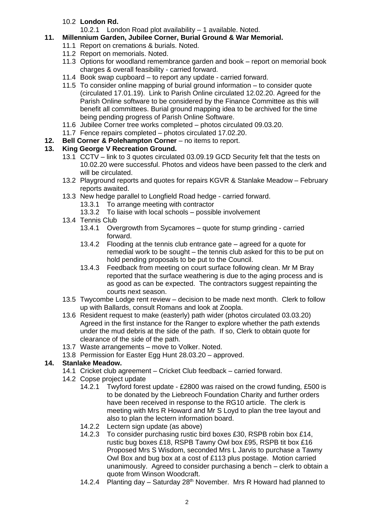# 10.2 **London Rd.**

10.2.1 London Road plot availability – 1 available. Noted.

# **11. Millennium Garden, Jubilee Corner, Burial Ground & War Memorial.**

- 11.1 Report on cremations & burials. Noted.
- 11.2 Report on memorials. Noted.
- 11.3 Options for woodland remembrance garden and book report on memorial book charges & overall feasibility - carried forward.
- 11.4 Book swap cupboard to report any update carried forward.
- 11.5 To consider online mapping of burial ground information to consider quote (circulated 17.01.19). Link to Parish Online circulated 12.02.20. Agreed for the Parish Online software to be considered by the Finance Committee as this will benefit all committees. Burial ground mapping idea to be archived for the time being pending progress of Parish Online Software.
- 11.6 Jubilee Corner tree works completed photos circulated 09.03.20.
- 11.7 Fence repairs completed photos circulated 17.02.20.
- **12. Bell Corner & Polehampton Corner** no items to report.

# **13. King George V Recreation Ground.**

- 13.1 CCTV link to 3 quotes circulated 03.09.19 GCD Security felt that the tests on 10.02.20 were successful. Photos and videos have been passed to the clerk and will be circulated.
- 13.2 Playground reports and quotes for repairs KGVR & Stanlake Meadow February reports awaited.
- 13.3 New hedge parallel to Longfield Road hedge carried forward.
	- 13.3.1 To arrange meeting with contractor
	- 13.3.2 To liaise with local schools possible involvement
- 13.4 Tennis Club
	- 13.4.1 Overgrowth from Sycamores quote for stump grinding carried forward.
	- 13.4.2 Flooding at the tennis club entrance gate agreed for a quote for remedial work to be sought – the tennis club asked for this to be put on hold pending proposals to be put to the Council.
	- 13.4.3 Feedback from meeting on court surface following clean. Mr M Bray reported that the surface weathering is due to the aging process and is as good as can be expected. The contractors suggest repainting the courts next season.
- 13.5 Twycombe Lodge rent review decision to be made next month. Clerk to follow up with Ballards, consult Romans and look at Zoopla.
- 13.6 Resident request to make (easterly) path wider (photos circulated 03.03.20) Agreed in the first instance for the Ranger to explore whether the path extends under the mud debris at the side of the path. If so, Clerk to obtain quote for clearance of the side of the path.
- 13.7 Waste arrangements move to Volker. Noted.
- 13.8 Permission for Easter Egg Hunt 28.03.20 approved.

# **14. Stanlake Meadow.**

- 14.1 Cricket club agreement Cricket Club feedback carried forward.
- 14.2 Copse project update
	- 14.2.1 Twyford forest update £2800 was raised on the crowd funding, £500 is to be donated by the Liebreoch Foundation Charity and further orders have been received in response to the RG10 article. The clerk is meeting with Mrs R Howard and Mr S Loyd to plan the tree layout and also to plan the lectern information board.
	- 14.2.2 Lectern sign update (as above)
	- 14.2.3 To consider purchasing rustic bird boxes £30, RSPB robin box £14, rustic bug boxes £18, RSPB Tawny Owl box £95, RSPB tit box £16 Proposed Mrs S Wisdom, seconded Mrs L Jarvis to purchase a Tawny Owl Box and bug box at a cost of £113 plus postage. Motion carried unanimously. Agreed to consider purchasing a bench – clerk to obtain a quote from Winson Woodcraft.
	- 14.2.4 Planting day Saturday  $28<sup>th</sup>$  November. Mrs R Howard had planned to